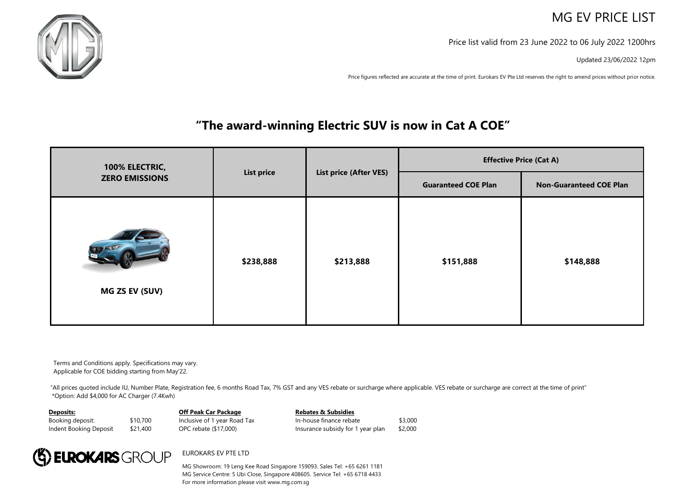## MG EV PRICE LIST

Price list valid from 23 June 2022 to 06 July 2022 1200hrs

Updated 23/06/2022 12pm

Price figures reflected are accurate at the time of print. Eurokars EV Pte Ltd reserves the right to amend prices without prior notice.

## EXPO Give-Aways / Special 1.99% Interest Rate\* / **"The award-winning Electric SUV is now in Cat A COE"**

|                                         | <b>List price</b> | <b>List price (After VES)</b> | <b>Effective Price (Cat A)</b> |                                |  |
|-----------------------------------------|-------------------|-------------------------------|--------------------------------|--------------------------------|--|
| 100% ELECTRIC,<br><b>ZERO EMISSIONS</b> |                   |                               | <b>Guaranteed COE Plan</b>     | <b>Non-Guaranteed COE Plan</b> |  |
| MG ZS EV (SUV)                          | \$238,888         | \$213,888                     | \$151,888                      | \$148,888                      |  |

Terms and Conditions apply. Specifications may vary. Applicable for COE bidding starting from May'22.

"All prices quoted include IU, Number Plate, Registration fee, 6 months Road Tax, 7% GST and any VES rebate or surcharge where applicable. VES rebate or surcharge are correct at the time of print" \*Option: Add \$4,000 for AC Charger (7.4Kwh)

**Deposits:**

## **Off Peak Car Package**

Booking deposit: \$10,700 Indent Booking Deposit \$21,400 Inclusive of 1 year Road Tax OPC rebate (\$17,000)

**Rebates & Subsidies** In-house finance rebate \$3,000 Insurance subsidy for 1 year plan \$2,000



EUROKARS EV PTE LTD

MG Showroom: 19 Leng Kee Road Singapore 159093. Sales Tel: +65 6261 1181 MG Service Centre: 5 Ubi Close, Singapore 408605. Service Tel: +65 6718 4433 For more information please visit www.mg.com.sg